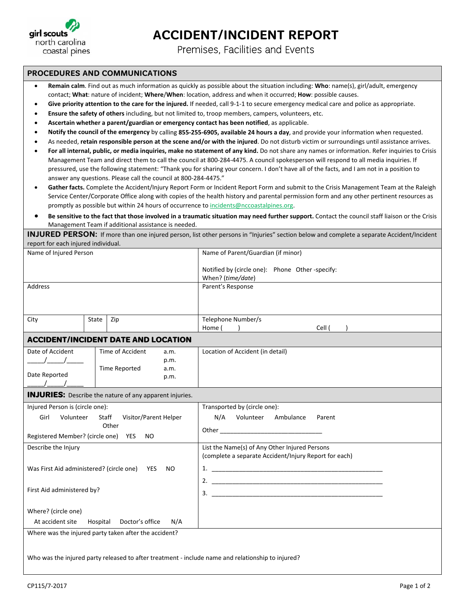

**ACCIDENT/INCIDENT REPORT** 

Premises, Facilities and Events

## **PROCEDURES AND COMMUNICATIONS**

- **Remain calm**. Find out as much information as quickly as possible about the situation including: **Who**: name(s), girl/adult, emergency contact; **What**: nature of incident; **Where**/**When**: location, address and when it occurred; **How**: possible causes.
- **Give priority attention to the care for the injured.** If needed, call 9‐1‐1 to secure emergency medical care and police as appropriate.
- **Ensure the safety of others** including, but not limited to, troop members, campers, volunteers, etc.
- **Ascertain whether a parent/guardian or emergency contact has been notified**, as applicable.

Who was the injured party released to after treatment - include name and relationship to injured?

- Notify the council of the emergency by calling 855-255-6905, available 24 hours a day, and provide your information when requested.
- As needed, **retain responsible person at the scene and/or with the injured**. Do not disturb victim or surroundings until assistance arrives.
- For all internal, public, or media inquiries, make no statement of any kind. Do not share any names or information. Refer inquiries to Crisis Management Team and direct them to call the council at 800‐284‐4475. A council spokesperson will respond to all media inquiries. If pressured, use the following statement: "Thank you for sharing your concern. I don't have all of the facts, and I am not in a position to answer any questions. Please call the council at 800‐284‐4475."
- **Gather facts.** Complete the Accident/Injury Report Form or Incident Report Form and submit to the Crisis Management Team at the Raleigh Service Center/Corporate Office along with copies of the health history and parental permission form and any other pertinent resources as promptly as possible but within 24 hours of occurrence to incidents@nccoastalpines.org.
- Be sensitive to the fact that those involved in a traumatic situation may need further support. Contact the council staff liaison or the Crisis Management Team if additional assistance is needed.

**INJURED PERSON:** If more than one injured person, list other persons in "Injuries" section below and complete a separate Accident/Incident report for each injured individual.

| Name of Injured Person                                     |       |                                                                | Name of Parent/Guardian (if minor)                                  |  |  |
|------------------------------------------------------------|-------|----------------------------------------------------------------|---------------------------------------------------------------------|--|--|
|                                                            |       |                                                                | Notified by (circle one): Phone Other-specify:<br>When? (time/date) |  |  |
| Address                                                    |       |                                                                | Parent's Response                                                   |  |  |
|                                                            |       |                                                                |                                                                     |  |  |
| City                                                       | State | Zip                                                            | Telephone Number/s<br>Home (<br>Cell (                              |  |  |
|                                                            |       | <b>ACCIDENT/INCIDENT DATE AND LOCATION</b>                     |                                                                     |  |  |
| Date of Accident                                           |       | Time of Accident<br>a.m.                                       | Location of Accident (in detail)                                    |  |  |
| $\sqrt{1}$                                                 |       | p.m.                                                           |                                                                     |  |  |
|                                                            |       | Time Reported<br>a.m.                                          |                                                                     |  |  |
| Date Reported                                              |       | p.m.                                                           |                                                                     |  |  |
|                                                            |       | <b>INJURIES:</b> Describe the nature of any apparent injuries. |                                                                     |  |  |
| Injured Person is (circle one):                            |       |                                                                | Transported by (circle one):                                        |  |  |
| Visitor/Parent Helper<br>Girl<br>Volunteer<br><b>Staff</b> |       |                                                                | N/A Volunteer Ambulance<br>Parent                                   |  |  |
| Other                                                      |       |                                                                |                                                                     |  |  |
| Registered Member? (circle one) YES<br><b>NO</b>           |       |                                                                |                                                                     |  |  |
| Describe the Injury                                        |       |                                                                | List the Name(s) of Any Other Injured Persons                       |  |  |
|                                                            |       |                                                                | (complete a separate Accident/Injury Report for each)               |  |  |
| Was First Aid administered? (circle one) YES<br>NO         |       |                                                                |                                                                     |  |  |
|                                                            |       |                                                                |                                                                     |  |  |
| First Aid administered by?                                 |       |                                                                | $\mathbf{3}$ .                                                      |  |  |
|                                                            |       |                                                                |                                                                     |  |  |
| Where? (circle one)                                        |       |                                                                |                                                                     |  |  |
| At accident site<br>Hospital<br>Doctor's office<br>N/A     |       |                                                                |                                                                     |  |  |
| Where was the injured party taken after the accident?      |       |                                                                |                                                                     |  |  |
|                                                            |       |                                                                |                                                                     |  |  |
|                                                            |       |                                                                |                                                                     |  |  |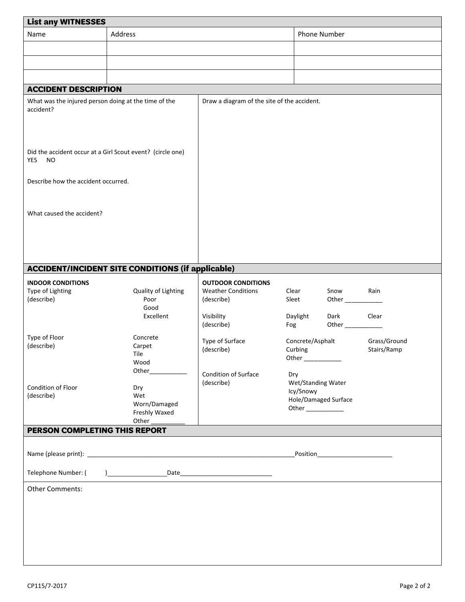| <b>List any WITNESSES</b>                                                      |                                                          |                                             |                                                     |                             |                             |
|--------------------------------------------------------------------------------|----------------------------------------------------------|---------------------------------------------|-----------------------------------------------------|-----------------------------|-----------------------------|
| Name                                                                           | Address                                                  |                                             |                                                     | Phone Number                |                             |
|                                                                                |                                                          |                                             |                                                     |                             |                             |
|                                                                                |                                                          |                                             |                                                     |                             |                             |
|                                                                                |                                                          |                                             |                                                     |                             |                             |
| <b>ACCIDENT DESCRIPTION</b>                                                    |                                                          |                                             |                                                     |                             |                             |
| What was the injured person doing at the time of the<br>accident?              |                                                          | Draw a diagram of the site of the accident. |                                                     |                             |                             |
| Did the accident occur at a Girl Scout event? (circle one)<br>YES<br><b>NO</b> |                                                          |                                             |                                                     |                             |                             |
| Describe how the accident occurred.                                            |                                                          |                                             |                                                     |                             |                             |
| What caused the accident?                                                      |                                                          |                                             |                                                     |                             |                             |
|                                                                                | <b>ACCIDENT/INCIDENT SITE CONDITIONS (if applicable)</b> |                                             |                                                     |                             |                             |
| <b>INDOOR CONDITIONS</b>                                                       |                                                          | <b>OUTDOOR CONDITIONS</b>                   |                                                     |                             |                             |
| Type of Lighting<br>(describe)                                                 | Quality of Lighting<br>Poor<br>Good                      | <b>Weather Conditions</b><br>(describe)     | Clear<br>Sleet                                      | Snow<br>Other               | Rain                        |
|                                                                                | Excellent                                                | Visibility<br>(describe)                    | Daylight<br>Fog                                     | Dark<br>Other______         | Clear                       |
| Type of Floor<br>(describe)                                                    | Concrete<br>Carpet<br>Tile<br>Wood                       | Type of Surface<br>(describe)               | Concrete/Asphalt<br>Curbing<br>Other ______________ |                             | Grass/Ground<br>Stairs/Ramp |
|                                                                                | Other_____________                                       | Condition of Surface                        | Dry                                                 |                             |                             |
| Condition of Floor<br>(describe)                                               | Dry<br>Wet<br>Worn/Damaged<br>Freshly Waxed<br>Other     | (describe)                                  | Wet/Standing Water<br>Icy/Snowy                     | <b>Hole/Damaged Surface</b> |                             |
| PERSON COMPLETING THIS REPORT                                                  |                                                          |                                             |                                                     |                             |                             |
|                                                                                |                                                          |                                             |                                                     |                             |                             |
|                                                                                |                                                          |                                             |                                                     |                             |                             |
| Telephone Number: (                                                            |                                                          |                                             |                                                     |                             |                             |
| <b>Other Comments:</b>                                                         |                                                          |                                             |                                                     |                             |                             |
|                                                                                |                                                          |                                             |                                                     |                             |                             |
|                                                                                |                                                          |                                             |                                                     |                             |                             |
|                                                                                |                                                          |                                             |                                                     |                             |                             |
|                                                                                |                                                          |                                             |                                                     |                             |                             |
|                                                                                |                                                          |                                             |                                                     |                             |                             |
|                                                                                |                                                          |                                             |                                                     |                             |                             |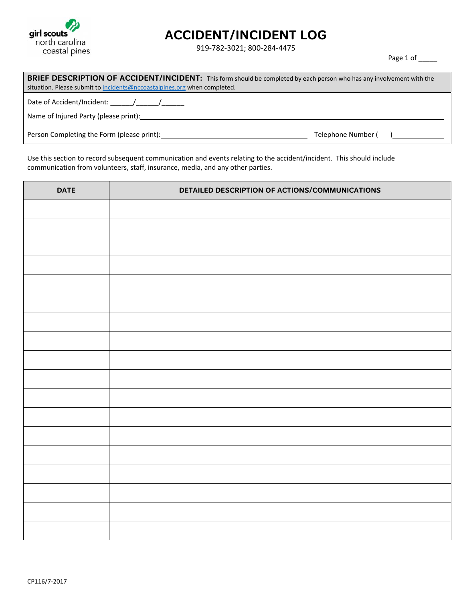

## **ACCIDENT/INCIDENT LOG**

919‐782‐3021; 800‐284‐4475

Page 1 of \_\_\_\_\_

| <b>BRIEF DESCRIPTION OF ACCIDENT/INCIDENT:</b> This form should be completed by each person who has any involvement with the<br>situation. Please submit to incidents@nccoastalpines.org when completed. |                      |  |
|----------------------------------------------------------------------------------------------------------------------------------------------------------------------------------------------------------|----------------------|--|
| Date of Accident/Incident: / / /<br>Name of Injured Party (please print): Name of Injured Party (please print):                                                                                          |                      |  |
| Person Completing the Form (please print):                                                                                                                                                               | Telephone Number ( ) |  |

Use this section to record subsequent communication and events relating to the accident/incident. This should include communication from volunteers, staff, insurance, media, and any other parties.

| <b>DATE</b> | DETAILED DESCRIPTION OF ACTIONS/COMMUNICATIONS |
|-------------|------------------------------------------------|
|             |                                                |
|             |                                                |
|             |                                                |
|             |                                                |
|             |                                                |
|             |                                                |
|             |                                                |
|             |                                                |
|             |                                                |
|             |                                                |
|             |                                                |
|             |                                                |
|             |                                                |
|             |                                                |
|             |                                                |
|             |                                                |
|             |                                                |
|             |                                                |